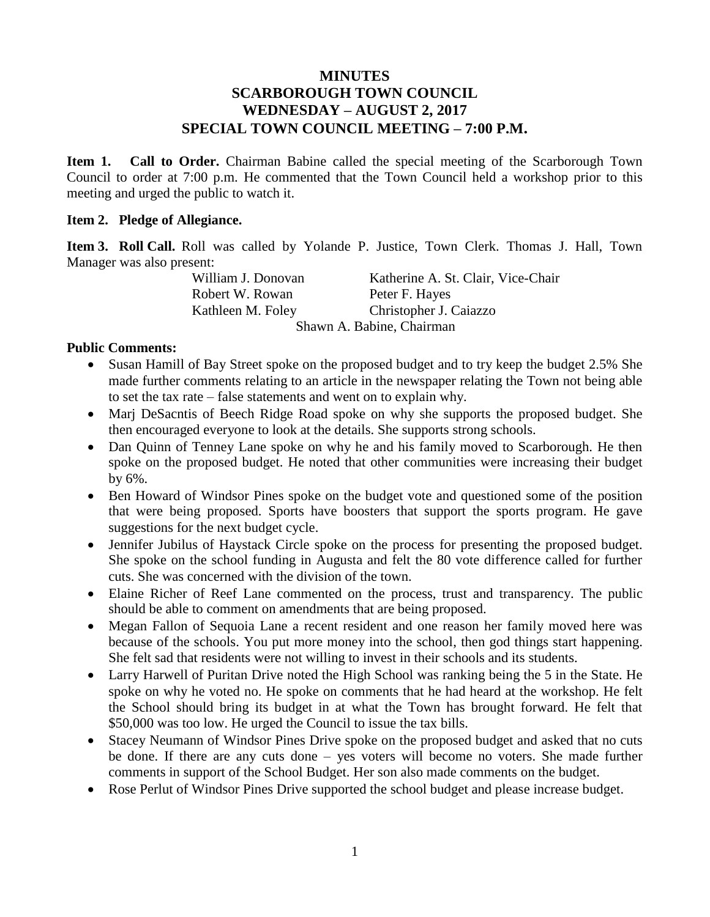## **MINUTES SCARBOROUGH TOWN COUNCIL WEDNESDAY – AUGUST 2, 2017 SPECIAL TOWN COUNCIL MEETING – 7:00 P.M.**

**Item 1. Call to Order.** Chairman Babine called the special meeting of the Scarborough Town Council to order at 7:00 p.m. He commented that the Town Council held a workshop prior to this meeting and urged the public to watch it.

### **Item 2. Pledge of Allegiance.**

**Item 3. Roll Call.** Roll was called by Yolande P. Justice, Town Clerk. Thomas J. Hall, Town Manager was also present:

> William J. Donovan Katherine A. St. Clair, Vice-Chair Robert W. Rowan Peter F. Hayes Kathleen M. Foley Christopher J. Caiazzo Shawn A. Babine, Chairman

#### **Public Comments:**

- Susan Hamill of Bay Street spoke on the proposed budget and to try keep the budget 2.5% She made further comments relating to an article in the newspaper relating the Town not being able to set the tax rate – false statements and went on to explain why.
- Marj DeSacntis of Beech Ridge Road spoke on why she supports the proposed budget. She then encouraged everyone to look at the details. She supports strong schools.
- Dan Quinn of Tenney Lane spoke on why he and his family moved to Scarborough. He then spoke on the proposed budget. He noted that other communities were increasing their budget by 6%.
- Ben Howard of Windsor Pines spoke on the budget vote and questioned some of the position that were being proposed. Sports have boosters that support the sports program. He gave suggestions for the next budget cycle.
- Jennifer Jubilus of Haystack Circle spoke on the process for presenting the proposed budget. She spoke on the school funding in Augusta and felt the 80 vote difference called for further cuts. She was concerned with the division of the town.
- Elaine Richer of Reef Lane commented on the process, trust and transparency. The public should be able to comment on amendments that are being proposed.
- Megan Fallon of Sequoia Lane a recent resident and one reason her family moved here was because of the schools. You put more money into the school, then god things start happening. She felt sad that residents were not willing to invest in their schools and its students.
- Larry Harwell of Puritan Drive noted the High School was ranking being the 5 in the State. He spoke on why he voted no. He spoke on comments that he had heard at the workshop. He felt the School should bring its budget in at what the Town has brought forward. He felt that \$50,000 was too low. He urged the Council to issue the tax bills.
- Stacey Neumann of Windsor Pines Drive spoke on the proposed budget and asked that no cuts be done. If there are any cuts done – yes voters will become no voters. She made further comments in support of the School Budget. Her son also made comments on the budget.
- Rose Perlut of Windsor Pines Drive supported the school budget and please increase budget.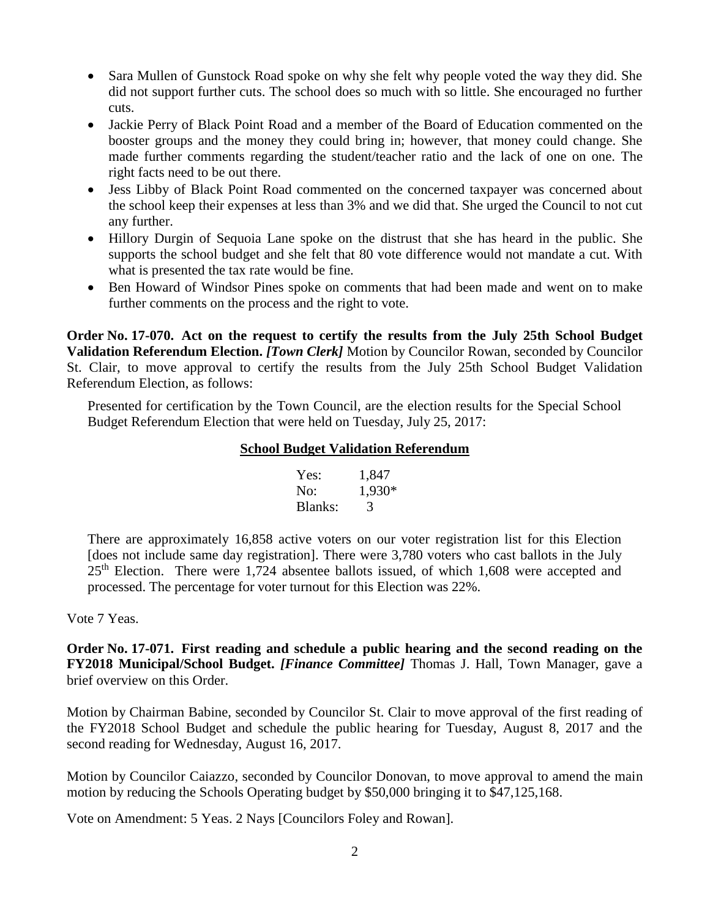- Sara Mullen of Gunstock Road spoke on why she felt why people voted the way they did. She did not support further cuts. The school does so much with so little. She encouraged no further cuts.
- Jackie Perry of Black Point Road and a member of the Board of Education commented on the booster groups and the money they could bring in; however, that money could change. She made further comments regarding the student/teacher ratio and the lack of one on one. The right facts need to be out there.
- Jess Libby of Black Point Road commented on the concerned taxpayer was concerned about the school keep their expenses at less than 3% and we did that. She urged the Council to not cut any further.
- Hillory Durgin of Sequoia Lane spoke on the distrust that she has heard in the public. She supports the school budget and she felt that 80 vote difference would not mandate a cut. With what is presented the tax rate would be fine.
- Ben Howard of Windsor Pines spoke on comments that had been made and went on to make further comments on the process and the right to vote.

**Order No. 17-070. Act on the request to certify the results from the July 25th School Budget Validation Referendum Election.** *[Town Clerk]* Motion by Councilor Rowan, seconded by Councilor St. Clair, to move approval to certify the results from the July 25th School Budget Validation Referendum Election, as follows:

Presented for certification by the Town Council, are the election results for the Special School Budget Referendum Election that were held on Tuesday, July 25, 2017:

### **School Budget Validation Referendum**

| Yes:    | 1,847  |
|---------|--------|
| No:     | 1,930* |
| Blanks: | 3      |

There are approximately 16,858 active voters on our voter registration list for this Election [does not include same day registration]. There were 3,780 voters who cast ballots in the July  $25<sup>th</sup>$  Election. There were 1,724 absentee ballots issued, of which 1,608 were accepted and processed. The percentage for voter turnout for this Election was 22%.

Vote 7 Yeas.

**Order No. 17-071. First reading and schedule a public hearing and the second reading on the FY2018 Municipal/School Budget.** *[Finance Committee]* Thomas J. Hall, Town Manager, gave a brief overview on this Order.

Motion by Chairman Babine, seconded by Councilor St. Clair to move approval of the first reading of the FY2018 School Budget and schedule the public hearing for Tuesday, August 8, 2017 and the second reading for Wednesday, August 16, 2017.

Motion by Councilor Caiazzo, seconded by Councilor Donovan, to move approval to amend the main motion by reducing the Schools Operating budget by \$50,000 bringing it to \$47,125,168.

Vote on Amendment: 5 Yeas. 2 Nays [Councilors Foley and Rowan].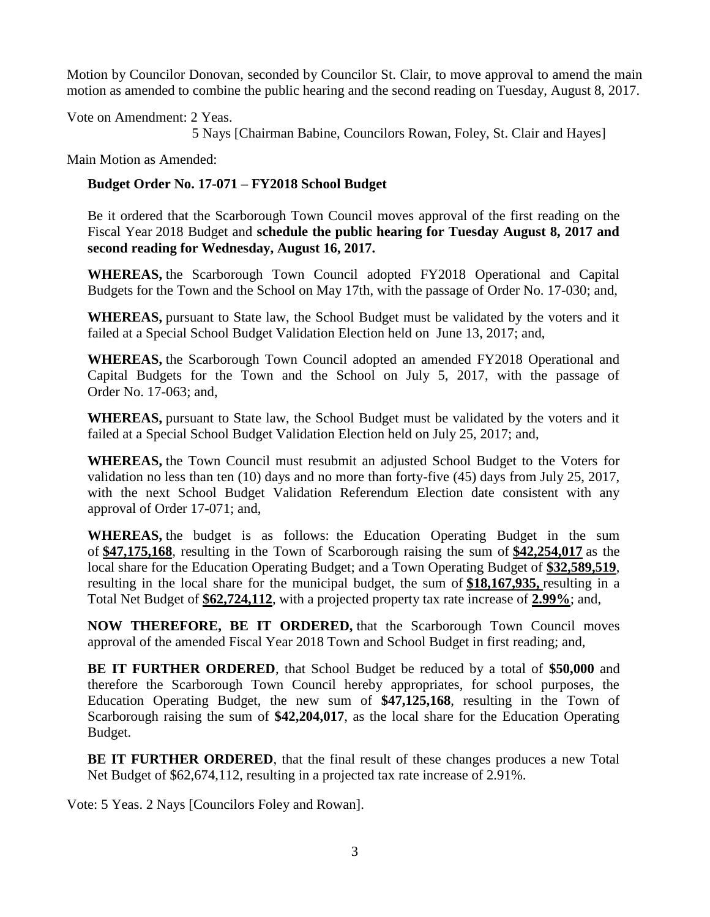Motion by Councilor Donovan, seconded by Councilor St. Clair, to move approval to amend the main motion as amended to combine the public hearing and the second reading on Tuesday, August 8, 2017.

Vote on Amendment: 2 Yeas.

5 Nays [Chairman Babine, Councilors Rowan, Foley, St. Clair and Hayes]

Main Motion as Amended:

## **Budget Order No. 17-071 – FY2018 School Budget**

Be it ordered that the Scarborough Town Council moves approval of the first reading on the Fiscal Year 2018 Budget and **schedule the public hearing for Tuesday August 8, 2017 and second reading for Wednesday, August 16, 2017.**

**WHEREAS,** the Scarborough Town Council adopted FY2018 Operational and Capital Budgets for the Town and the School on May 17th, with the passage of Order No. 17-030; and,

**WHEREAS,** pursuant to State law, the School Budget must be validated by the voters and it failed at a Special School Budget Validation Election held on June 13, 2017; and,

**WHEREAS,** the Scarborough Town Council adopted an amended FY2018 Operational and Capital Budgets for the Town and the School on July 5, 2017, with the passage of Order No. 17-063; and,

**WHEREAS,** pursuant to State law, the School Budget must be validated by the voters and it failed at a Special School Budget Validation Election held on July 25, 2017; and,

**WHEREAS,** the Town Council must resubmit an adjusted School Budget to the Voters for validation no less than ten (10) days and no more than forty-five (45) days from July 25, 2017, with the next School Budget Validation Referendum Election date consistent with any approval of Order 17-071; and,

**WHEREAS,** the budget is as follows:the Education Operating Budget in the sum of **\$47,175,168**, resulting in the Town of Scarborough raising the sum of **\$42,254,017** as the local share for the Education Operating Budget; and a Town Operating Budget of **\$32,589,519**, resulting in the local share for the municipal budget, the sum of **\$18,167,935,** resulting in a Total Net Budget of **\$62,724,112**, with a projected property tax rate increase of **2.99%**; and,

**NOW THEREFORE, BE IT ORDERED,** that the Scarborough Town Council moves approval of the amended Fiscal Year 2018 Town and School Budget in first reading; and,

**BE IT FURTHER ORDERED**, that School Budget be reduced by a total of **\$50,000** and therefore the Scarborough Town Council hereby appropriates, for school purposes, the Education Operating Budget, the new sum of **\$47,125,168**, resulting in the Town of Scarborough raising the sum of **\$42,204,017**, as the local share for the Education Operating Budget.

**BE IT FURTHER ORDERED,** that the final result of these changes produces a new Total Net Budget of \$62,674,112, resulting in a projected tax rate increase of 2.91%.

Vote: 5 Yeas. 2 Nays [Councilors Foley and Rowan].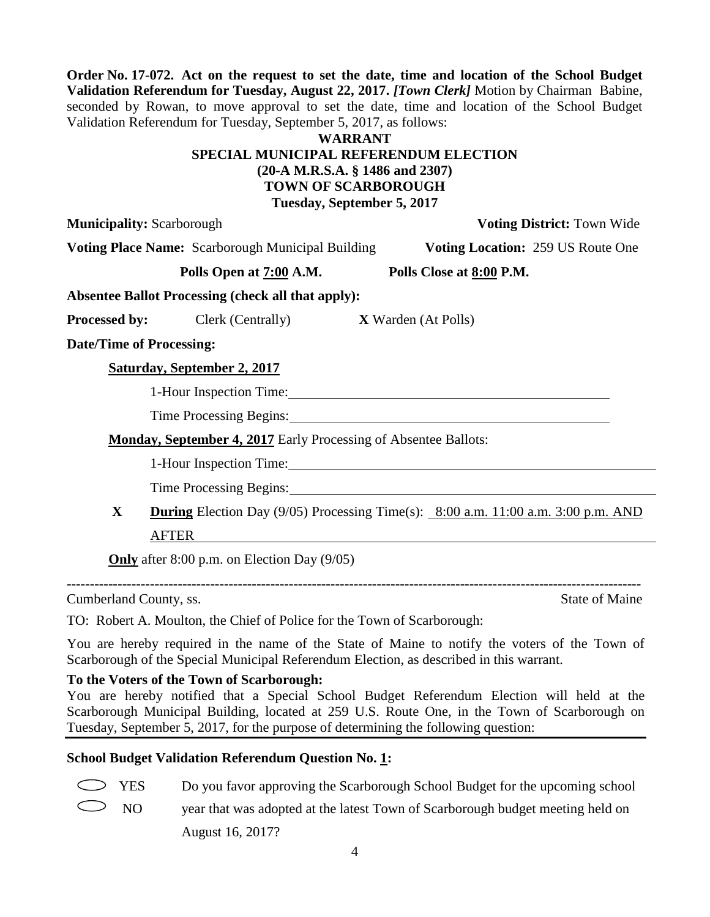**Order No. 17-072. Act on the request to set the date, time and location of the School Budget Validation Referendum for Tuesday, August 22, 2017.** *[Town Clerk]* Motion by Chairman Babine, seconded by Rowan, to move approval to set the date, time and location of the School Budget Validation Referendum for Tuesday, September 5, 2017, as follows:

### **WARRANT SPECIAL MUNICIPAL REFERENDUM ELECTION (20-A M.R.S.A. § 1486 and 2307) TOWN OF SCARBOROUGH Tuesday, September 5, 2017**

**Municipality:** Scarborough **Voting District:** Town Wide

**Voting Place Name:** Scarborough Municipal Building **Voting Location:** 259 US Route One

**Polls Open at 7:00 A.M. Polls Close at 8:00 P.M.**

**Absentee Ballot Processing (check all that apply):**

**Processed by:** Clerk (Centrally) **X** Warden (At Polls)

**Date/Time of Processing:**

# **Saturday, September 2, 2017**

1-Hour Inspection Time:

Time Processing Begins:

**Monday, September 4, 2017** Early Processing of Absentee Ballots:

1-Hour Inspection Time:

Time Processing Begins:

**X During** Election Day (9/05) Processing Time(s): 8:00 a.m. 11:00 a.m. 3:00 p.m. AND AFTER

**Only** after 8:00 p.m. on Election Day (9/05)

**----------------------------------------------------------------------------------------------------------------------------**

**Cumberland County, ss.** State of Maine

TO: Robert A. Moulton, the Chief of Police for the Town of Scarborough:

You are hereby required in the name of the State of Maine to notify the voters of the Town of Scarborough of the Special Municipal Referendum Election, as described in this warrant.

# **To the Voters of the Town of Scarborough:**

You are hereby notified that a Special School Budget Referendum Election will held at the Scarborough Municipal Building, located at 259 U.S. Route One, in the Town of Scarborough on Tuesday, September 5, 2017, for the purpose of determining the following question:

# **School Budget Validation Referendum Question No. 1:**

YES Do you favor approving the Scarborough School Budget for the upcoming school

NO year that was adopted at the latest Town of Scarborough budget meeting held on August 16, 2017?